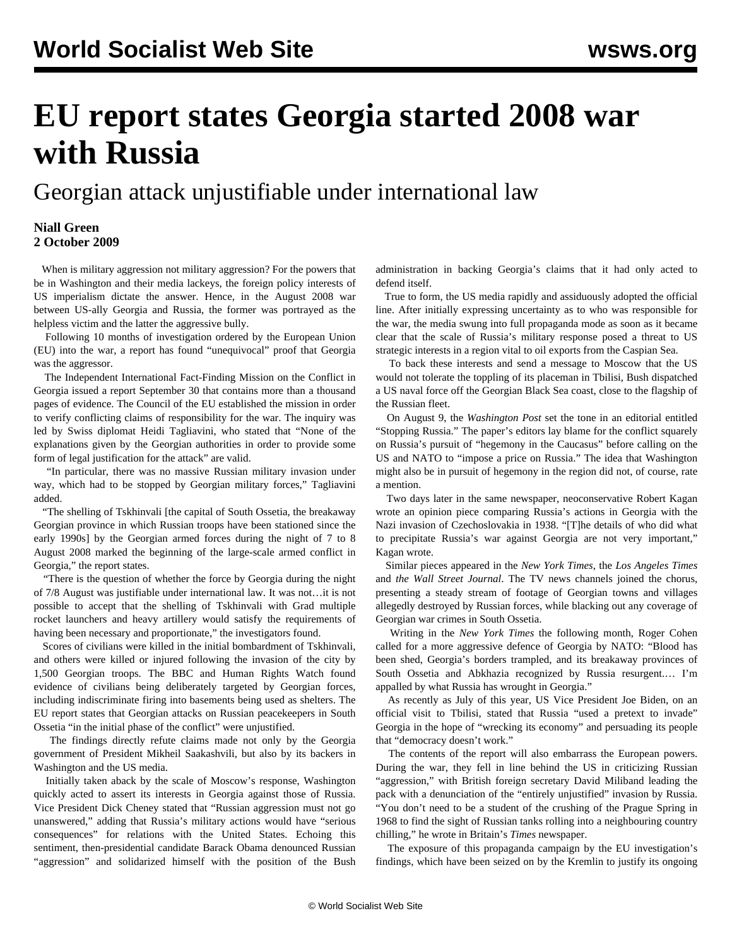## **EU report states Georgia started 2008 war with Russia**

## Georgian attack unjustifiable under international law

## **Niall Green 2 October 2009**

 When is military aggression not military aggression? For the powers that be in Washington and their media lackeys, the foreign policy interests of US imperialism dictate the answer. Hence, in the August 2008 war between US-ally Georgia and Russia, the former was portrayed as the helpless victim and the latter the aggressive bully.

 Following 10 months of investigation ordered by the European Union (EU) into the war, a report has found "unequivocal" proof that Georgia was the aggressor.

 The Independent International Fact-Finding Mission on the Conflict in Georgia issued a report September 30 that contains more than a thousand pages of evidence. The Council of the EU established the mission in order to verify conflicting claims of responsibility for the war. The inquiry was led by Swiss diplomat Heidi Tagliavini, who stated that "None of the explanations given by the Georgian authorities in order to provide some form of legal justification for the attack" are valid.

 "In particular, there was no massive Russian military invasion under way, which had to be stopped by Georgian military forces," Tagliavini added.

 "The shelling of Tskhinvali [the capital of South Ossetia, the breakaway Georgian province in which Russian troops have been stationed since the early 1990s] by the Georgian armed forces during the night of 7 to 8 August 2008 marked the beginning of the large-scale armed conflict in Georgia," the report states.

 "There is the question of whether the force by Georgia during the night of 7/8 August was justifiable under international law. It was not…it is not possible to accept that the shelling of Tskhinvali with Grad multiple rocket launchers and heavy artillery would satisfy the requirements of having been necessary and proportionate," the investigators found.

 Scores of civilians were killed in the initial bombardment of Tskhinvali, and others were killed or injured following the invasion of the city by 1,500 Georgian troops. The BBC and Human Rights Watch found evidence of civilians being deliberately targeted by Georgian forces, including indiscriminate firing into basements being used as shelters. The EU report states that Georgian attacks on Russian peacekeepers in South Ossetia "in the initial phase of the conflict" were unjustified.

 The findings directly refute claims made not only by the Georgia government of President Mikheil Saakashvili, but also by its backers in Washington and the US media.

 Initially taken aback by the scale of Moscow's response, Washington quickly acted to assert its interests in Georgia against those of Russia. Vice President Dick Cheney stated that "Russian aggression must not go unanswered," adding that Russia's military actions would have "serious consequences" for relations with the United States. Echoing this sentiment, then-presidential candidate Barack Obama denounced Russian "aggression" and solidarized himself with the position of the Bush administration in backing Georgia's claims that it had only acted to defend itself.

 True to form, the US media rapidly and assiduously adopted the official line. After initially expressing uncertainty as to who was responsible for the war, the media swung into full propaganda mode as soon as it became clear that the scale of Russia's military response posed a threat to US strategic interests in a region vital to oil exports from the Caspian Sea.

 To back these interests and send a message to Moscow that the US would not tolerate the toppling of its placeman in Tbilisi, Bush dispatched a US naval force off the Georgian Black Sea coast, close to the flagship of the Russian fleet.

 On August 9, the *Washington Post* set the tone in an editorial entitled "Stopping Russia." The paper's editors lay blame for the conflict squarely on Russia's pursuit of "hegemony in the Caucasus" before calling on the US and NATO to "impose a price on Russia." The idea that Washington might also be in pursuit of hegemony in the region did not, of course, rate a mention.

 Two days later in the same newspaper, neoconservative Robert Kagan wrote an opinion piece comparing Russia's actions in Georgia with the Nazi invasion of Czechoslovakia in 1938. "[T]he details of who did what to precipitate Russia's war against Georgia are not very important," Kagan wrote.

 Similar pieces appeared in the *New York Times*, the *Los Angeles Times* and *the Wall Street Journal*. The TV news channels joined the chorus, presenting a steady stream of footage of Georgian towns and villages allegedly destroyed by Russian forces, while blacking out any coverage of Georgian war crimes in South Ossetia.

 Writing in the *New York Times* the following month, Roger Cohen called for a more aggressive defence of Georgia by NATO: "Blood has been shed, Georgia's borders trampled, and its breakaway provinces of South Ossetia and Abkhazia recognized by Russia resurgent.… I'm appalled by what Russia has wrought in Georgia."

 As recently as July of this year, US Vice President Joe Biden, on an official visit to Tbilisi, stated that Russia "used a pretext to invade" Georgia in the hope of "wrecking its economy" and persuading its people that "democracy doesn't work."

 The contents of the report will also embarrass the European powers. During the war, they fell in line behind the US in criticizing Russian "aggression," with British foreign secretary David Miliband leading the pack with a denunciation of the "entirely unjustified" invasion by Russia. "You don't need to be a student of the crushing of the Prague Spring in 1968 to find the sight of Russian tanks rolling into a neighbouring country chilling," he wrote in Britain's *Times* newspaper.

 The exposure of this propaganda campaign by the EU investigation's findings, which have been seized on by the Kremlin to justify its ongoing